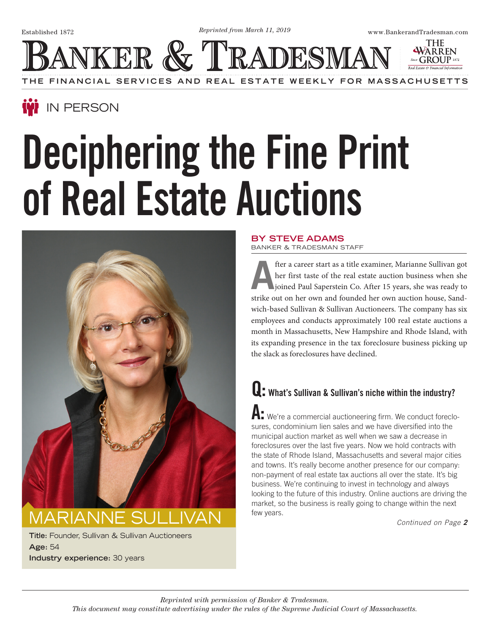Established 1872 *Reprinted from March 11, 2019* www.BankerandTradesman.com

**THE FINANCIAL SERVICES AND REAL ESTATE WEEKLY FOR MASSACHUSETTS**



### IN PERSON

# Deciphering the Fine Print of Real Estate Auctions



VKER & T

**Title:** Founder, Sullivan & Sullivan Auctioneers **Age:** 54 **Industry experience:** 30 years

#### **BY STEVE ADAMS**

BANKER & TRADESMAN STAFF

DESMA

fter a career start as a title examiner, Marianne Sullivan got her first taste of the real estate auction business when she joined Paul Saperstein Co. After 15 years, she was ready to her first taste of the real estate auction business when she strike out on her own and founded her own auction house, Sandwich-based Sullivan & Sullivan Auctioneers. The company has six employees and conducts approximately 100 real estate auctions a month in Massachusetts, New Hampshire and Rhode Island, with its expanding presence in the tax foreclosure business picking up the slack as foreclosures have declined.

## Q: What's Sullivan & Sullivan's niche within the industry?

We're a commercial auctioneering firm. We conduct foreclosures, condominium lien sales and we have diversified into the municipal auction market as well when we saw a decrease in foreclosures over the last five years. Now we hold contracts with the state of Rhode Island, Massachusetts and several major cities and towns. It's really become another presence for our company: non-payment of real estate tax auctions all over the state. It's big business. We're continuing to invest in technology and always looking to the future of this industry. Online auctions are driving the market, so the business is really going to change within the next few years.

*Continued on Page 2*